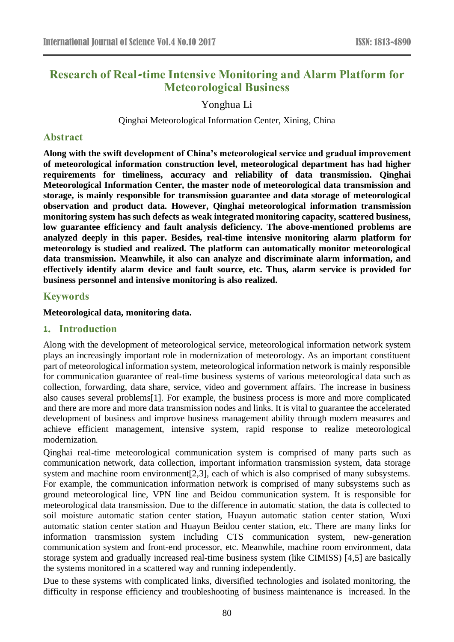# **Research of Real-time Intensive Monitoring and Alarm Platform for Meteorological Business**

Yonghua Li

Qinghai Meteorological Information Center, Xining, China

### **Abstract**

**Along with the swift development of China's meteorological service and gradual improvement of meteorological information construction level, meteorological department has had higher requirements for timeliness, accuracy and reliability of data transmission. Qinghai Meteorological Information Center, the master node of meteorological data transmission and storage, is mainly responsible for transmission guarantee and data storage of meteorological observation and product data. However, Qinghai meteorological information transmission monitoring system has such defects as weak integrated monitoring capacity, scattered business, low guarantee efficiency and fault analysis deficiency. The above-mentioned problems are analyzed deeply in this paper. Besides, real-time intensive monitoring alarm platform for meteorology is studied and realized. The platform can automatically monitor meteorological data transmission. Meanwhile, it also can analyze and discriminate alarm information, and effectively identify alarm device and fault source, etc. Thus, alarm service is provided for business personnel and intensive monitoring is also realized.**

#### **Keywords**

#### **Meteorological data, monitoring data.**

#### **1. Introduction**

Along with the development of meteorological service, meteorological information network system plays an increasingly important role in modernization of meteorology. As an important constituent part of meteorological information system, meteorological information network is mainly responsible for communication guarantee of real-time business systems of various meteorological data such as collection, forwarding, data share, service, video and government affairs. The increase in business also causes several problems[1]. For example, the business process is more and more complicated and there are more and more data transmission nodes and links. It is vital to guarantee the accelerated development of business and improve business management ability through modern measures and achieve efficient management, intensive system, rapid response to realize meteorological modernization.

Qinghai real-time meteorological communication system is comprised of many parts such as communication network, data collection, important information transmission system, data storage system and machine room environment [2,3], each of which is also comprised of many subsystems. For example, the communication information network is comprised of many subsystems such as ground meteorological line, VPN line and Beidou communication system. It is responsible for meteorological data transmission. Due to the difference in automatic station, the data is collected to soil moisture automatic station center station, Huayun automatic station center station, Wuxi automatic station center station and Huayun Beidou center station, etc. There are many links for information transmission system including CTS communication system, new-generation communication system and front-end processor, etc. Meanwhile, machine room environment, data storage system and gradually increased real-time business system (like CIMISS) [4,5] are basically the systems monitored in a scattered way and running independently.

Due to these systems with complicated links, diversified technologies and isolated monitoring, the difficulty in response efficiency and troubleshooting of business maintenance is increased. In the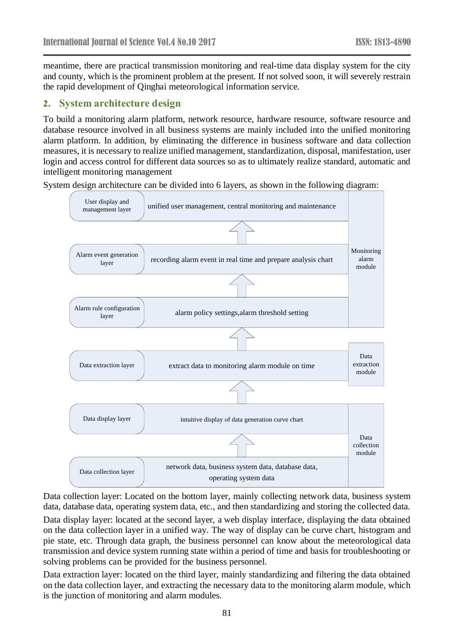meantime, there are practical transmission monitoring and real-time data display system for the city and county, which is the prominent problem at the present. If not solved soon, it will severely restrain the rapid development of Qinghai meteorological information service.

### **2. System architecture design**

To build a monitoring alarm platform, network resource, hardware resource, software resource and database resource involved in all business systems are mainly included into the unified monitoring alarm platform. In addition, by eliminating the difference in business software and data collection measures, it is necessary to realize unified management, standardization, disposal, manifestation, user login and access control for different data sources so as to ultimately realize standard, automatic and intelligent monitoring management

System design architecture can be divided into 6 layers, as shown in the following diagram:



Data collection layer: Located on the bottom layer, mainly collecting network data, business system data, database data, operating system data, etc., and then standardizing and storing the collected data. Data display layer: located at the second layer, a web display interface, displaying the data obtained on the data collection layer in a unified way. The way of display can be curve chart, histogram and pie state, etc. Through data graph, the business personnel can know about the meteorological data transmission and device system running state within a period of time and basis for troubleshooting or solving problems can be provided for the business personnel.

Data extraction layer: located on the third layer, mainly standardizing and filtering the data obtained on the data collection layer, and extracting the necessary data to the monitoring alarm module, which is the junction of monitoring and alarm modules.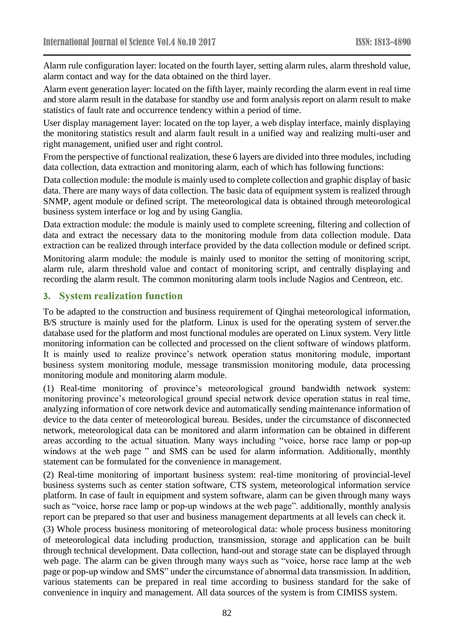Alarm rule configuration layer: located on the fourth layer, setting alarm rules, alarm threshold value, alarm contact and way for the data obtained on the third layer.

Alarm event generation layer: located on the fifth layer, mainly recording the alarm event in real time and store alarm result in the database for standby use and form analysis report on alarm result to make statistics of fault rate and occurrence tendency within a period of time.

User display management layer: located on the top layer, a web display interface, mainly displaying the monitoring statistics result and alarm fault result in a unified way and realizing multi-user and right management, unified user and right control.

From the perspective of functional realization, these 6 layers are divided into three modules, including data collection, data extraction and monitoring alarm, each of which has following functions:

Data collection module: the module is mainly used to complete collection and graphic display of basic data. There are many ways of data collection. The basic data of equipment system is realized through SNMP, agent module or defined script. The meteorological data is obtained through meteorological business system interface or log and by using Ganglia.

Data extraction module: the module is mainly used to complete screening, filtering and collection of data and extract the necessary data to the monitoring module from data collection module. Data extraction can be realized through interface provided by the data collection module or defined script.

Monitoring alarm module: the module is mainly used to monitor the setting of monitoring script, alarm rule, alarm threshold value and contact of monitoring script, and centrally displaying and recording the alarm result. The common monitoring alarm tools include Nagios and Centreon, etc.

### **3. System realization function**

To be adapted to the construction and business requirement of Qinghai meteorological information, B/S structure is mainly used for the platform. Linux is used for the operating system of server.the database used for the platform and most functional modules are operated on Linux system. Very little monitoring information can be collected and processed on the client software of windows platform. It is mainly used to realize province's network operation status monitoring module, important business system monitoring module, message transmission monitoring module, data processing monitoring module and monitoring alarm module.

(1) Real-time monitoring of province's meteorological ground bandwidth network system: monitoring province's meteorological ground special network device operation status in real time, analyzing information of core network device and automatically sending maintenance information of device to the data center of meteorological bureau. Besides, under the circumstance of disconnected network, meteorological data can be monitored and alarm information can be obtained in different areas according to the actual situation. Many ways including "voice, horse race lamp or pop-up windows at the web page " and SMS can be used for alarm information. Additionally, monthly statement can be formulated for the convenience in management.

(2) Real-time monitoring of important business system: real-time monitoring of provincial-level business systems such as center station software, CTS system, meteorological information service platform. In case of fault in equipment and system software, alarm can be given through many ways such as "voice, horse race lamp or pop-up windows at the web page". additionally, monthly analysis report can be prepared so that user and business management departments at all levels can check it.

(3) Whole process business monitoring of meteorological data: whole process business monitoring of meteorological data including production, transmission, storage and application can be built through technical development. Data collection, hand-out and storage state can be displayed through web page. The alarm can be given through many ways such as "voice, horse race lamp at the web page or pop-up window and SMS" under the circumstance of abnormal data transmission. In addition, various statements can be prepared in real time according to business standard for the sake of convenience in inquiry and management. All data sources of the system is from CIMISS system.